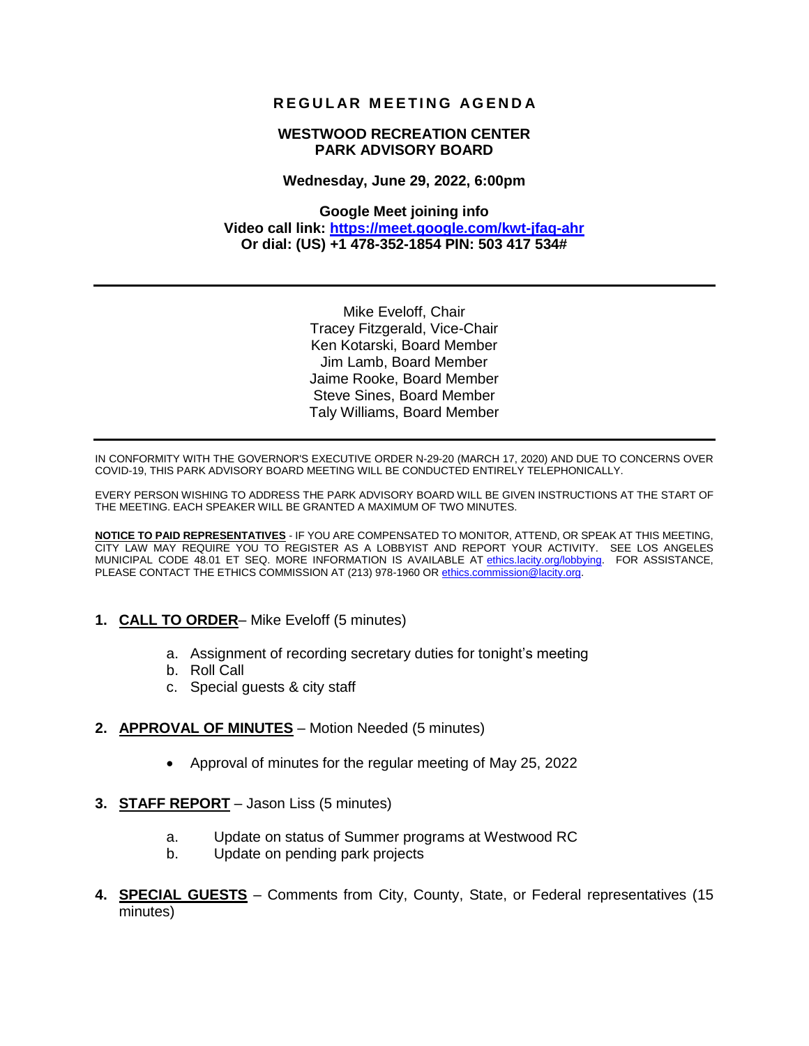# **R E G U L AR M E E T I N G AG E N D A**

### **WESTWOOD RECREATION CENTER PARK ADVISORY BOARD**

#### **Wednesday, June 29, 2022, 6:00pm**

### **Google Meet joining info Video call link:<https://meet.google.com/kwt-jfaq-ahr> Or dial: (US) +1 478-352-1854 PIN: 503 417 534#**

Mike Eveloff, Chair Tracey Fitzgerald, Vice-Chair Ken Kotarski, Board Member Jim Lamb, Board Member Jaime Rooke, Board Member Steve Sines, Board Member Taly Williams, Board Member

IN CONFORMITY WITH THE GOVERNOR'S EXECUTIVE ORDER N-29-20 (MARCH 17, 2020) AND DUE TO CONCERNS OVER COVID-19, THIS PARK ADVISORY BOARD MEETING WILL BE CONDUCTED ENTIRELY TELEPHONICALLY.

EVERY PERSON WISHING TO ADDRESS THE PARK ADVISORY BOARD WILL BE GIVEN INSTRUCTIONS AT THE START OF THE MEETING. EACH SPEAKER WILL BE GRANTED A MAXIMUM OF TWO MINUTES.

**NOTICE TO PAID REPRESENTATIVES** - IF YOU ARE COMPENSATED TO MONITOR, ATTEND, OR SPEAK AT THIS MEETING, CITY LAW MAY REQUIRE YOU TO REGISTER AS A LOBBYIST AND REPORT YOUR ACTIVITY. SEE LOS ANGELES MUNICIPAL CODE 48.01 ET SEQ. MORE INFORMATION IS AVAILABLE AT ethics.lacity.org/lobbying. FOR ASSISTANCE, PLEASE CONTACT THE ETHICS COMMISSION AT (213) 978-1960 O[R ethics.commission@lacity.org.](mailto:ethics.commission@lacity.org)

- **1. CALL TO ORDER** Mike Eveloff (5 minutes)
	- a. Assignment of recording secretary duties for tonight's meeting
	- b. Roll Call
	- c. Special guests & city staff
- **2. APPROVAL OF MINUTES** Motion Needed (5 minutes)
	- Approval of minutes for the regular meeting of May 25, 2022
- **3. STAFF REPORT** Jason Liss (5 minutes)
	- a. Update on status of Summer programs at Westwood RC
	- b. Update on pending park projects
- **4. SPECIAL GUESTS** Comments from City, County, State, or Federal representatives (15 minutes)